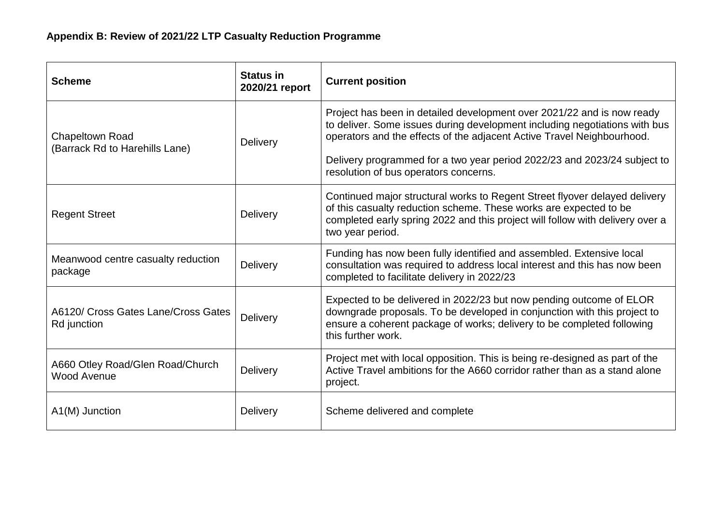| <b>Scheme</b>                                            | <b>Status in</b><br>2020/21 report | <b>Current position</b>                                                                                                                                                                                                                                                                                                                             |
|----------------------------------------------------------|------------------------------------|-----------------------------------------------------------------------------------------------------------------------------------------------------------------------------------------------------------------------------------------------------------------------------------------------------------------------------------------------------|
| <b>Chapeltown Road</b><br>(Barrack Rd to Harehills Lane) | <b>Delivery</b>                    | Project has been in detailed development over 2021/22 and is now ready<br>to deliver. Some issues during development including negotiations with bus<br>operators and the effects of the adjacent Active Travel Neighbourhood.<br>Delivery programmed for a two year period 2022/23 and 2023/24 subject to<br>resolution of bus operators concerns. |
| <b>Regent Street</b>                                     | <b>Delivery</b>                    | Continued major structural works to Regent Street flyover delayed delivery<br>of this casualty reduction scheme. These works are expected to be<br>completed early spring 2022 and this project will follow with delivery over a<br>two year period.                                                                                                |
| Meanwood centre casualty reduction<br>package            | <b>Delivery</b>                    | Funding has now been fully identified and assembled. Extensive local<br>consultation was required to address local interest and this has now been<br>completed to facilitate delivery in 2022/23                                                                                                                                                    |
| A6120/ Cross Gates Lane/Cross Gates<br>Rd junction       | Delivery                           | Expected to be delivered in 2022/23 but now pending outcome of ELOR<br>downgrade proposals. To be developed in conjunction with this project to<br>ensure a coherent package of works; delivery to be completed following<br>this further work.                                                                                                     |
| A660 Otley Road/Glen Road/Church<br>Wood Avenue          | Delivery                           | Project met with local opposition. This is being re-designed as part of the<br>Active Travel ambitions for the A660 corridor rather than as a stand alone<br>project.                                                                                                                                                                               |
| A1(M) Junction                                           | Delivery                           | Scheme delivered and complete                                                                                                                                                                                                                                                                                                                       |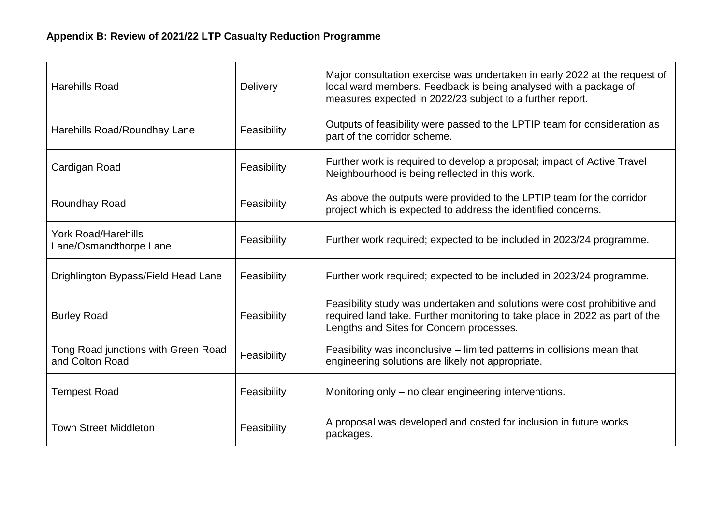| <b>Harehills Road</b>                                  | <b>Delivery</b> | Major consultation exercise was undertaken in early 2022 at the request of<br>local ward members. Feedback is being analysed with a package of<br>measures expected in 2022/23 subject to a further report. |
|--------------------------------------------------------|-----------------|-------------------------------------------------------------------------------------------------------------------------------------------------------------------------------------------------------------|
| Harehills Road/Roundhay Lane                           | Feasibility     | Outputs of feasibility were passed to the LPTIP team for consideration as<br>part of the corridor scheme.                                                                                                   |
| Cardigan Road                                          | Feasibility     | Further work is required to develop a proposal; impact of Active Travel<br>Neighbourhood is being reflected in this work.                                                                                   |
| Roundhay Road                                          | Feasibility     | As above the outputs were provided to the LPTIP team for the corridor<br>project which is expected to address the identified concerns.                                                                      |
| <b>York Road/Harehills</b><br>Lane/Osmandthorpe Lane   | Feasibility     | Further work required; expected to be included in 2023/24 programme.                                                                                                                                        |
| Drighlington Bypass/Field Head Lane                    | Feasibility     | Further work required; expected to be included in 2023/24 programme.                                                                                                                                        |
| <b>Burley Road</b>                                     | Feasibility     | Feasibility study was undertaken and solutions were cost prohibitive and<br>required land take. Further monitoring to take place in 2022 as part of the<br>Lengths and Sites for Concern processes.         |
| Tong Road junctions with Green Road<br>and Colton Road | Feasibility     | Feasibility was inconclusive – limited patterns in collisions mean that<br>engineering solutions are likely not appropriate.                                                                                |
| <b>Tempest Road</b>                                    | Feasibility     | Monitoring only – no clear engineering interventions.                                                                                                                                                       |
| <b>Town Street Middleton</b>                           | Feasibility     | A proposal was developed and costed for inclusion in future works<br>packages.                                                                                                                              |